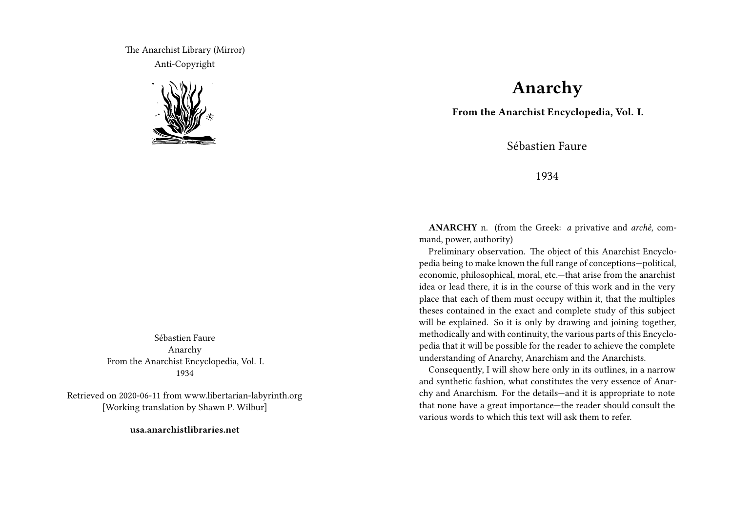The Anarchist Library (Mirror) Anti-Copyright



Sébastien Faure Anarchy From the Anarchist Encyclopedia, Vol. I. 1934

Retrieved on 2020-06-11 from www.libertarian-labyrinth.org [Working translation by Shawn P. Wilbur]

**usa.anarchistlibraries.net**

## **Anarchy**

**From the Anarchist Encyclopedia, Vol. I.**

Sébastien Faure

1934

**ANARCHY** n. (from the Greek: *a* privative and *archè*, command, power, authority)

Preliminary observation. The object of this Anarchist Encyclopedia being to make known the full range of conceptions—political, economic, philosophical, moral, etc.—that arise from the anarchist idea or lead there, it is in the course of this work and in the very place that each of them must occupy within it, that the multiples theses contained in the exact and complete study of this subject will be explained. So it is only by drawing and joining together, methodically and with continuity, the various parts of this Encyclopedia that it will be possible for the reader to achieve the complete understanding of Anarchy, Anarchism and the Anarchists.

Consequently, I will show here only in its outlines, in a narrow and synthetic fashion, what constitutes the very essence of Anarchy and Anarchism. For the details—and it is appropriate to note that none have a great importance—the reader should consult the various words to which this text will ask them to refer.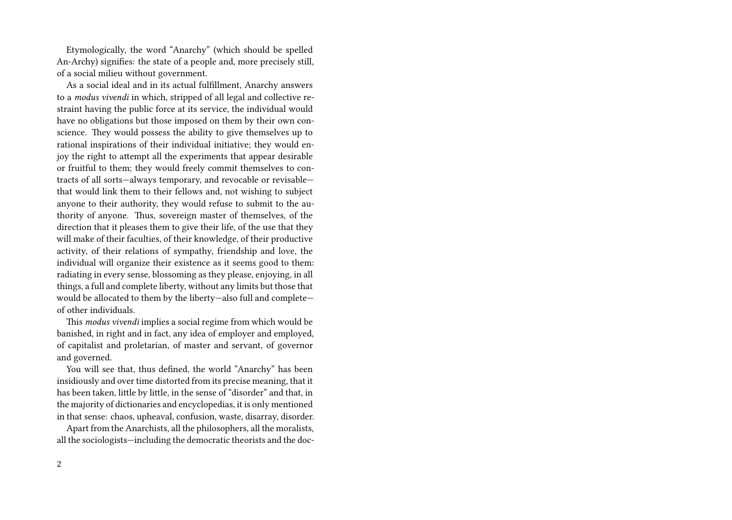Etymologically, the word "Anarchy" (which should be spelled An-Archy) signifies: the state of a people and, more precisely still, of a social milieu without government.

As a social ideal and in its actual fulfillment, Anarchy answers to a *modus vivendi* in which, stripped of all legal and collective restraint having the public force at its service, the individual would have no obligations but those imposed on them by their own conscience. They would possess the ability to give themselves up to rational inspirations of their individual initiative; they would enjoy the right to attempt all the experiments that appear desirable or fruitful to them; they would freely commit themselves to contracts of all sorts—always temporary, and revocable or revisable that would link them to their fellows and, not wishing to subject anyone to their authority, they would refuse to submit to the authority of anyone. Thus, sovereign master of themselves, of the direction that it pleases them to give their life, of the use that they will make of their faculties, of their knowledge, of their productive activity, of their relations of sympathy, friendship and love, the individual will organize their existence as it seems good to them: radiating in every sense, blossoming as they please, enjoying, in all things, a full and complete liberty, without any limits but those that would be allocated to them by the liberty—also full and complete of other individuals.

This *modus vivendi* implies a social regime from which would be banished, in right and in fact, any idea of employer and employed, of capitalist and proletarian, of master and servant, of governor and governed.

You will see that, thus defined, the world "Anarchy" has been insidiously and over time distorted from its precise meaning, that it has been taken, little by little, in the sense of "disorder" and that, in the majority of dictionaries and encyclopedias, it is only mentioned in that sense: chaos, upheaval, confusion, waste, disarray, disorder.

Apart from the Anarchists, all the philosophers, all the moralists, all the sociologists—including the democratic theorists and the doc-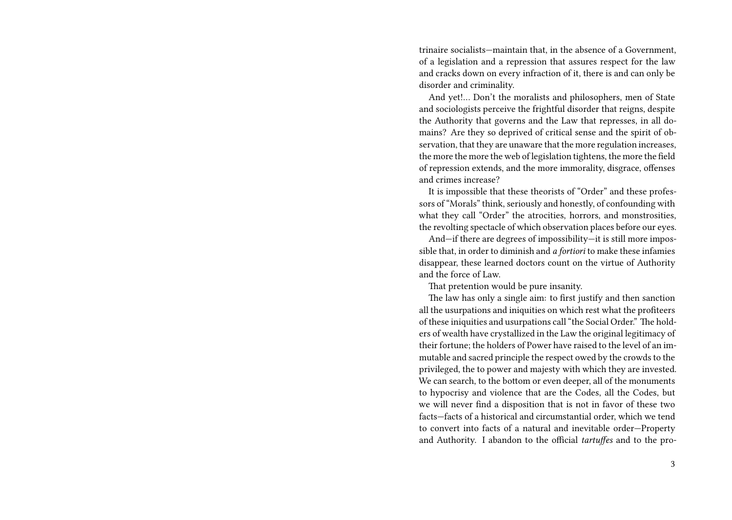trinaire socialists—maintain that, in the absence of a Government, of a legislation and a repression that assures respect for the law and cracks down on every infraction of it, there is and can only be disorder and criminality.

And yet!… Don't the moralists and philosophers, men of State and sociologists perceive the frightful disorder that reigns, despite the Authority that governs and the Law that represses, in all domains? Are they so deprived of critical sense and the spirit of observation, that they are unaware that the more regulation increases, the more the more the web of legislation tightens, the more the field of repression extends, and the more immorality, disgrace, offenses and crimes increase?

It is impossible that these theorists of "Order" and these professors of "Morals" think, seriously and honestly, of confounding with what they call "Order" the atrocities, horrors, and monstrosities, the revolting spectacle of which observation places before our eyes.

And—if there are degrees of impossibility—it is still more impossible that, in order to diminish and *a fortiori* to make these infamies disappear, these learned doctors count on the virtue of Authority and the force of Law.

That pretention would be pure insanity.

The law has only a single aim: to first justify and then sanction all the usurpations and iniquities on which rest what the profiteers of these iniquities and usurpations call "the Social Order." The holders of wealth have crystallized in the Law the original legitimacy of their fortune; the holders of Power have raised to the level of an immutable and sacred principle the respect owed by the crowds to the privileged, the to power and majesty with which they are invested. We can search, to the bottom or even deeper, all of the monuments to hypocrisy and violence that are the Codes, all the Codes, but we will never find a disposition that is not in favor of these two facts—facts of a historical and circumstantial order, which we tend to convert into facts of a natural and inevitable order—Property and Authority. I abandon to the official *tartuffes* and to the pro